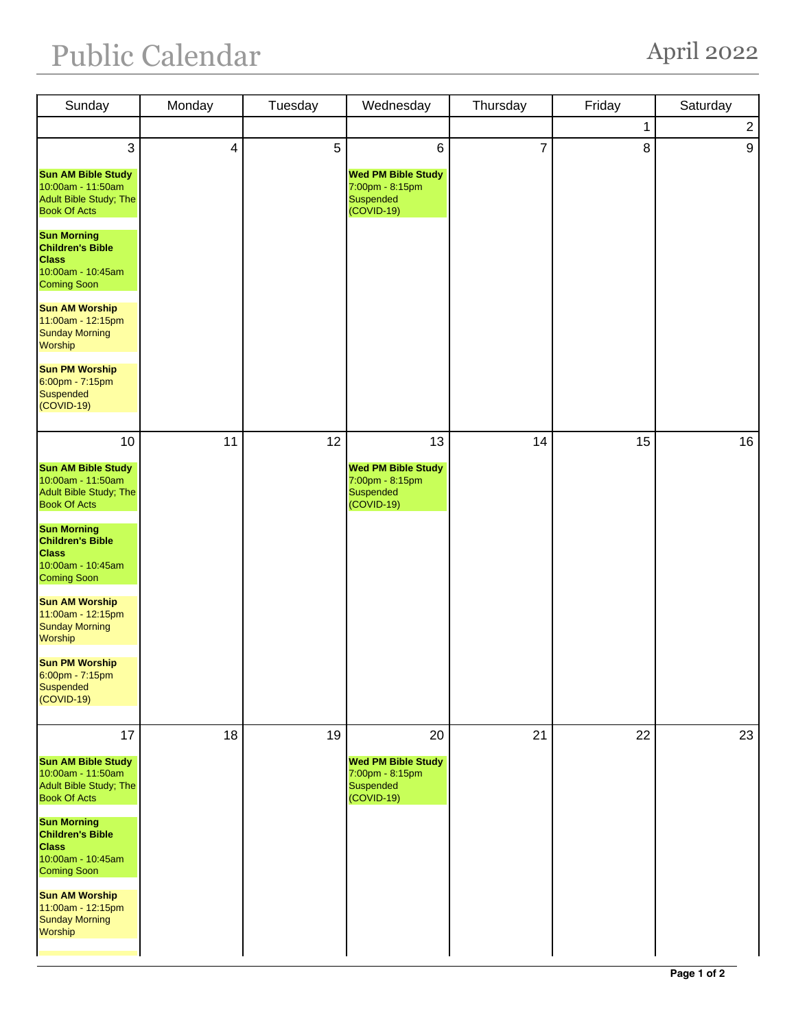## Public Calendar April 2022

| Sunday                                                                                                                                                                                                                                                                                                                                                                                | Monday | Tuesday        | Wednesday                                                                     | Thursday       | Friday | Saturday       |
|---------------------------------------------------------------------------------------------------------------------------------------------------------------------------------------------------------------------------------------------------------------------------------------------------------------------------------------------------------------------------------------|--------|----------------|-------------------------------------------------------------------------------|----------------|--------|----------------|
|                                                                                                                                                                                                                                                                                                                                                                                       |        |                |                                                                               |                | 1      | $\overline{2}$ |
| 3<br><b>Sun AM Bible Study</b><br>10:00am - 11:50am<br>Adult Bible Study; The<br><b>Book Of Acts</b><br><b>Sun Morning</b><br><b>Children's Bible</b><br><b>Class</b><br>10:00am - 10:45am<br><b>Coming Soon</b><br><b>Sun AM Worship</b><br>11:00am - 12:15pm<br><b>Sunday Morning</b><br>Worship<br><b>Sun PM Worship</b><br>$6:00$ pm - 7:15pm<br><b>Suspended</b><br>$(COVID-19)$ | 4      | $\overline{5}$ | 6<br><b>Wed PM Bible Study</b><br>7:00pm - 8:15pm<br>Suspended<br>(COVID-19)  | $\overline{7}$ | 8      | 9              |
| 10<br><b>Sun AM Bible Study</b><br>10:00am - 11:50am<br>Adult Bible Study; The<br><b>Book Of Acts</b><br><b>Sun Morning</b><br><b>Children's Bible</b><br><b>Class</b><br>10:00am - 10:45am<br><b>Coming Soon</b><br><b>Sun AM Worship</b><br>11:00am - 12:15pm<br><b>Sunday Morning</b><br>Worship<br><b>Sun PM Worship</b><br>6:00pm - 7:15pm<br><b>Suspended</b><br>$(COVID-19)$   | 11     | 12             | 13<br><b>Wed PM Bible Study</b><br>7:00pm - 8:15pm<br>Suspended<br>(COVID-19) | 14             | 15     | 16             |
| 17<br><b>Sun AM Bible Study</b><br>10:00am - 11:50am<br>Adult Bible Study; The<br><b>Book Of Acts</b><br><b>Sun Morning</b><br><b>Children's Bible</b><br><b>Class</b><br>10:00am - 10:45am<br><b>Coming Soon</b><br><b>Sun AM Worship</b><br>11:00am - 12:15pm<br><b>Sunday Morning</b><br>Worship                                                                                   | 18     | 19             | 20<br><b>Wed PM Bible Study</b><br>7:00pm - 8:15pm<br>Suspended<br>(COVID-19) | 21             | 22     | 23             |